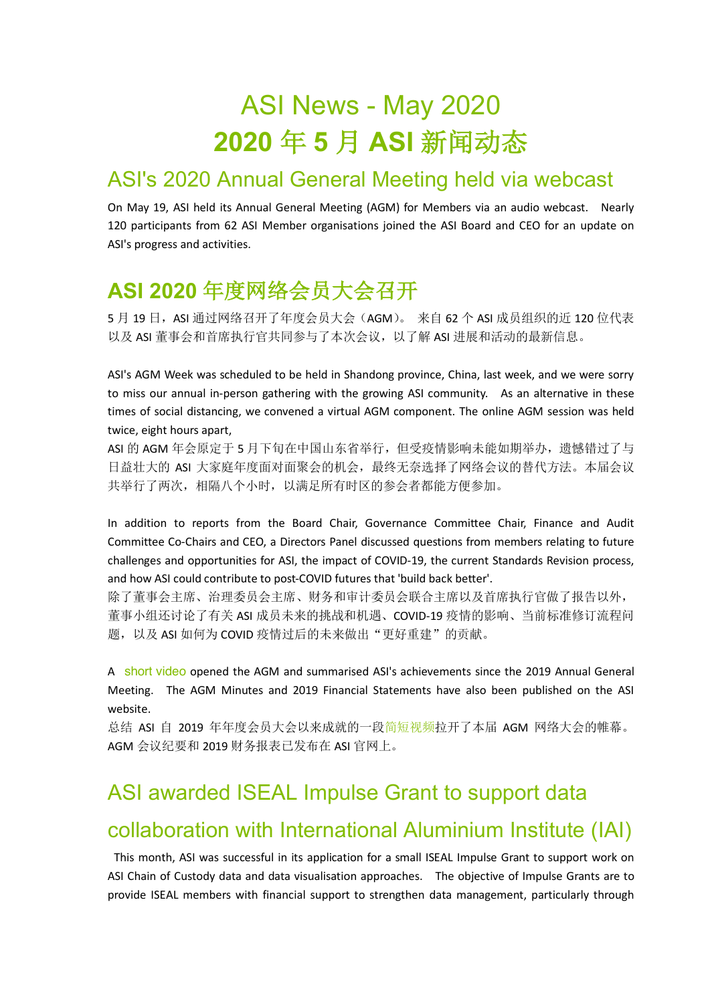# ASI News - May 2020 **2020** 年 **5** 月 **ASI** 新闻动态

### ASI's 2020 Annual General Meeting held via webcast

On May 19, ASI held its Annual General Meeting (AGM) for Members via an audio webcast. Nearly 120 participants from 62 ASI Member organisations joined the ASI Board and CEO for an update on ASI's progress and activities.

## **ASI 2020** 年度网络会员大会召开

5 月 19 日, ASI 通过网络召开了年度会员大会(AGM)。 来自 62 个 ASI 成员组织的近 120 位代表 以及 ASI 董事会和首席执行官共同参与了本次会议,以了解 ASI 进展和活动的最新信息。

ASI's AGM Week was scheduled to be held in Shandong province, China, last week, and we were sorry to miss our annual in-person gathering with the growing ASI community. As an alternative in these times of social distancing, we convened a virtual AGM component. The online AGM session was held twice, eight hours apart,

ASI 的 AGM 年会原定于 5 月下旬在中国山东省举行,但受疫情影响未能如期举办,遗憾错过了与 日益壮大的 ASI 大家庭年度面对面聚会的机会,最终无奈选择了网络会议的替代方法。本届会议 共举行了两次,相隔八个小时,以满足所有时区的参会者都能方便参加。

In addition to reports from the Board Chair, Governance Committee Chair, Finance and Audit Committee Co-Chairs and CEO, a Directors Panel discussed questions from members relating to future challenges and opportunities for ASI, the impact of COVID-19, the current Standards Revision process, and how ASI could contribute to post-COVID futures that 'build back better'.

除了董事会主席、治理委员会主席、财务和审计委员会联合主席以及首席执行官做了报告以外, 董事小组还讨论了有关 ASI 成员未来的挑战和机遇、COVID-19 疫情的影响、当前标准修订流程问 题, 以及 ASI 如何为 COVID 疫情过后的未来做出"更好重建"的贡献。

A short video opened the AGM and summarised ASI's achievements since the 2019 Annual General Meeting. The AGM Minutes and 2019 Financial Statements have also been published on the ASI website.

总结 ASI 自 2019 年年度会员大会以来成就的一段简短视频拉开了本届 AGM 网络大会的帷幕。 AGM 会议纪要和 2019 财务报表已发布在 ASI 官网上。

## ASI awarded ISEAL Impulse Grant to support data collaboration with International Aluminium Institute (IAI)

This month, ASI was successful in its application for a small ISEAL Impulse Grant to support work on ASI Chain of Custody data and data visualisation approaches. The objective of Impulse Grants are to provide ISEAL members with financial support to strengthen data management, particularly through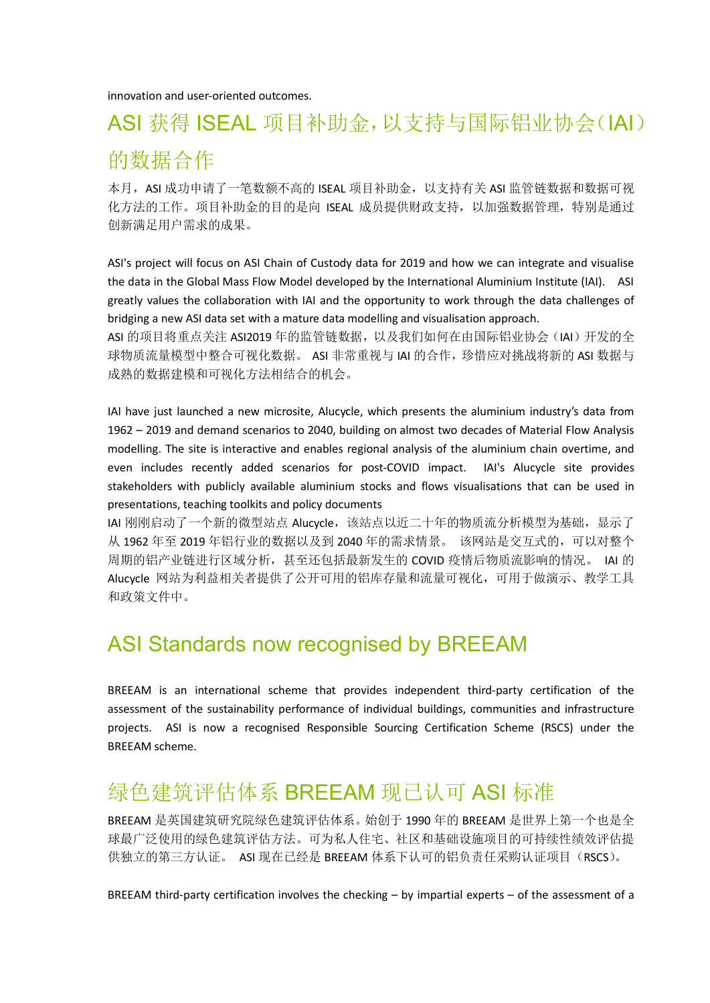innovation and user-oriented outcomes.

# ASI 获得 ISEAL 项目补助金,以支持与国际铝业协会(IAI) 的数据合作

本月, ASI 成功申请了一笔数额不高的 ISEAL 项目补助金, 以支持有关 ASI 监管链数据和数据可视 化方法的工作。项目补助金的目的是向 ISEAL 成员提供财政支持,以加强数据管理,特别是通过 创新满足用户需求的成果。

ASI's project will focus on ASI Chain of Custody data for 2019 and how we can integrate and visualise the data in the Global Mass Flow Model developed by the International Aluminium Institute (IAI). ASI greatly values the collaboration with IAI and the opportunity to work through the data challenges of bridging a new ASI data set with a mature data modelling and visualisation approach.

ASI 的项目将重点关注 ASI2019 年的监管链数据,以及我们如何在由国际铝业协会(IAI)开发的全 球物质流量模型中整合可视化数据。 ASI 非常重视与 IAI 的合作, 珍惜应对挑战将新的 ASI 数据与 成熟的数据建模和可视化方法相结合的机会。

IAI have just launched a new microsite, Alucycle, which presents the aluminium industry's data from 1962 – 2019 and demand scenarios to 2040, building on almost two decades of Material Flow Analysis modelling. The site is interactive and enables regional analysis of the aluminium chain overtime, and even includes recently added scenarios for post-COVID impact. IAI's Alucycle site provides stakeholders with publicly available aluminium stocks and flows visualisations that can be used in presentations, teaching toolkits and policy documents

IAI 刚刚启动了一个新的微型站点 Alucycle,该站点以近二十年的物质流分析模型为基础,显示了 从 1962年至 2019年铝行业的数据以及到 2040年的需求情景。该网站是交互式的,可以对整个 周期的铝产业链进行区域分析,甚至还包括最新发生的 COVID 疫情后物质流影响的情况。 IAI 的 Alucycle 网站为利益相关者提供了公开可用的铝库存量和流量可视化,可用于做演示、教学工具 和政策文件中。

### ASI Standards now recognised by BREEAM

BREEAM is an international scheme that provides independent third-party certification of the assessment of the sustainability performance of individual buildings, communities and infrastructure projects. ASI is now a recognised Responsible Sourcing Certification Scheme (RSCS) under the BREEAM scheme.

### 绿色建筑评估体系 BREEAM 现已认可 ASI 标准

BREEAM 是英国建筑研究院绿色建筑评估体系。始创于 1990 年的 BREEAM 是世界上第一个也是全 球最广泛使用的绿色建筑评估方法。可为私人住宅、社区和基础设施项目的可持续性绩效评估提 供独立的第三方认证。 ASI 现在已经是 BREEAM 体系下认可的铝负责任采购认证项目(RSCS)。

BREEAM third-party certification involves the checking – by impartial experts – of the assessment of a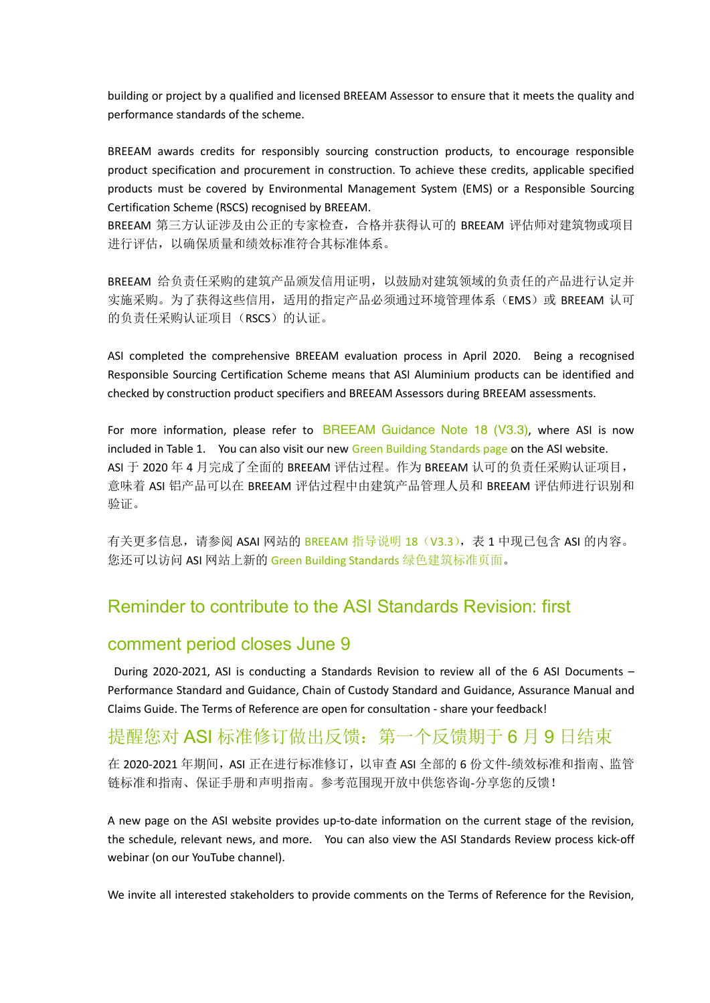building or project by a qualified and licensed BREEAM Assessor to ensure that it meets the quality and performance standards of the scheme.

BREEAM awards credits for responsibly sourcing construction products, to encourage responsible product specification and procurement in construction. To achieve these credits, applicable specified products must be covered by Environmental Management System (EMS) or a Responsible Sourcing Certification Scheme (RSCS) recognised by BREEAM.

BREEAM 第三方认证涉及由公正的专家检查,合格并获得认可的 BREEAM 评估师对建筑物或项目 进行评估,以确保质量和绩效标准符合其标准体系。

BREEAM 给负责任采购的建筑产品颁发信用证明,以鼓励对建筑领域的负责任的产品进行认定并 实施采购。为了获得这些信用,适用的指定产品必须通过环境管理体系(EMS)或 BREEAM 认可 的负责任采购认证项目(RSCS)的认证。

ASI completed the comprehensive BREEAM evaluation process in April 2020. Being a recognised Responsible Sourcing Certification Scheme means that ASI Aluminium products can be identified and checked by construction product specifiers and BREEAM Assessors during BREEAM assessments.

For more information, please refer to BREEAM Guidance Note 18 ( $V3.3$ ), where ASI is now included in Table 1. You can also visit our new Green Building Standards page on the ASI website. ASI 于 2020 年 4 月完成了全面的 BREEAM 评估过程。作为 BREEAM 认可的负责任采购认证项目, 意味着 ASI 铝产品可以在 BREEAM 评估过程中由建筑产品管理人员和 BREEAM 评估师进行识别和 验证。

有关更多信息,请参阅 ASAI 网站的 BREEAM 指导说明 18 (V3.3),表 1 中现已包含 ASI 的内容。 您还可以访问 ASI 网站上新的 Green Building Standards 绿色建筑标准页面。

#### Reminder to contribute to the ASI Standards Revision: first

#### comment period closes June 9

During 2020-2021, ASI is conducting a Standards Revision to review all of the 6 ASI Documents – Performance Standard and Guidance, Chain of Custody Standard and Guidance, Assurance Manual and Claims Guide. The Terms of Reference are open for consultation - share your feedback!

#### 提醒您对 ASI 标准修订做出反馈: 第一个反馈期于 6 月 9 日结束

在 2020-2021 年期间, ASI 正在进行标准修订, 以审查 ASI 全部的 6 份文件-绩效标准和指南、监管 链标准和指南、保证手册和声明指南。参考范围现开放中供您咨询-分享您的反馈!

A new page on the ASI website provides up-to-date information on the current stage of the revision, the schedule, relevant news, and more. You can also view the ASI Standards Review process kick-off webinar (on our YouTube channel).

We invite all interested stakeholders to provide comments on the Terms of Reference for the Revision,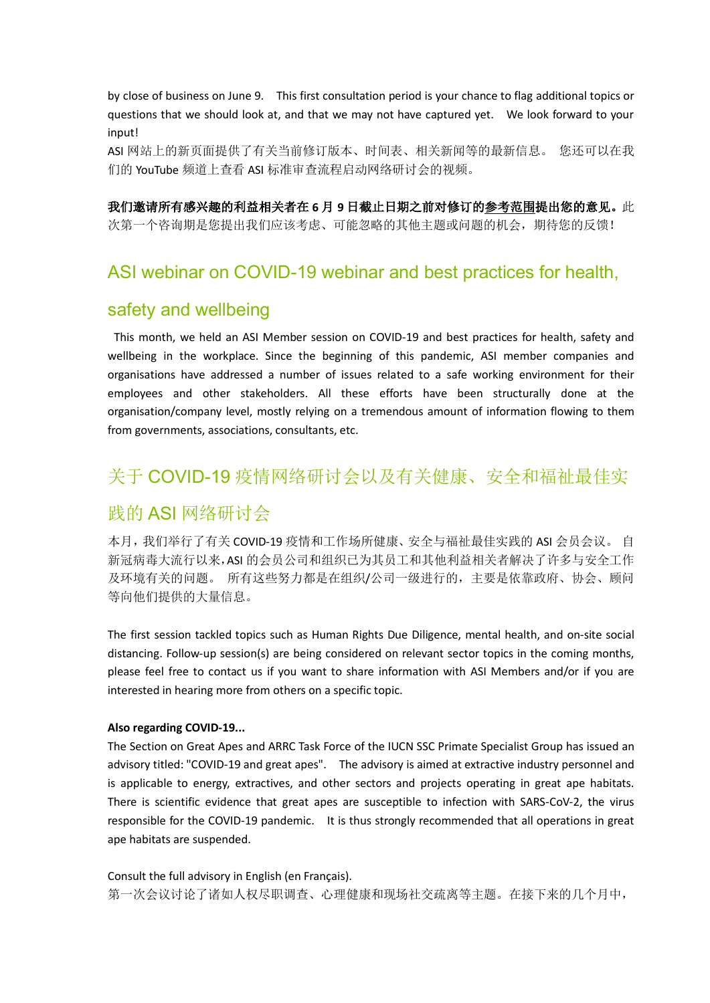by close of business on June 9. This first consultation period is your chance to flag additional topics or questions that we should look at, and that we may not have captured yet. We look forward to your input!

ASI 网站上的新页面提供了有关当前修订版本、时间表、相关新闻等的最新信息。 您还可以在我 们的 YouTube 频道上查看 ASI 标准审查流程启动网络研讨会的视频。

我们邀请所有感兴趣的利益相关者在 **6** 月 **9** 日截止日期之前对修订的参考范围提出您的意见。此 次第一个咨询期是您提出我们应该考虑、可能忽略的其他主题或问题的机会,期待您的反馈!

#### ASI webinar on COVID-19 webinar and best practices for health,

#### safety and wellbeing

This month, we held an ASI Member session on COVID-19 and best practices for health, safety and wellbeing in the workplace. Since the beginning of this pandemic, ASI member companies and organisations have addressed a number of issues related to a safe working environment for their employees and other stakeholders. All these efforts have been structurally done at the organisation/company level, mostly relying on a tremendous amount of information flowing to them from governments, associations, consultants, etc.

#### 关于 COVID-19 疫情网络研讨会以及有关健康、安全和福祉最佳实

#### 践的 ASI 网络研讨会

本月,我们举行了有关 COVID-19 疫情和工作场所健康、安全与福祉最佳实践的 ASI 会员会议。 自 新冠病毒大流行以来,ASI 的会员公司和组织已为其员工和其他利益相关者解决了许多与安全工作 及环境有关的问题。 所有这些努力都是在组织/公司一级进行的,主要是依靠政府、协会、顾问 等向他们提供的大量信息。

The first session tackled topics such as Human Rights Due Diligence, mental health, and on-site social distancing. Follow-up session(s) are being considered on relevant sector topics in the coming months, please feel free to contact us if you want to share information with ASI Members and/or if you are interested in hearing more from others on a specific topic.

#### **Also regarding COVID-19...**

The Section on Great Apes and ARRC Task Force of the IUCN SSC Primate Specialist Group has issued an advisory titled: "COVID-19 and great apes". The advisory is aimed at extractive industry personnel and is applicable to energy, extractives, and other sectors and projects operating in great ape habitats. There is scientific evidence that great apes are susceptible to infection with SARS-CoV-2, the virus responsible for the COVID-19 pandemic. It is thus strongly recommended that all operations in great ape habitats are suspended.

Consult the full advisory in English (en Français). 第一次会议讨论了诸如人权尽职调查、心理健康和现场社交疏离等主题。在接下来的几个月中,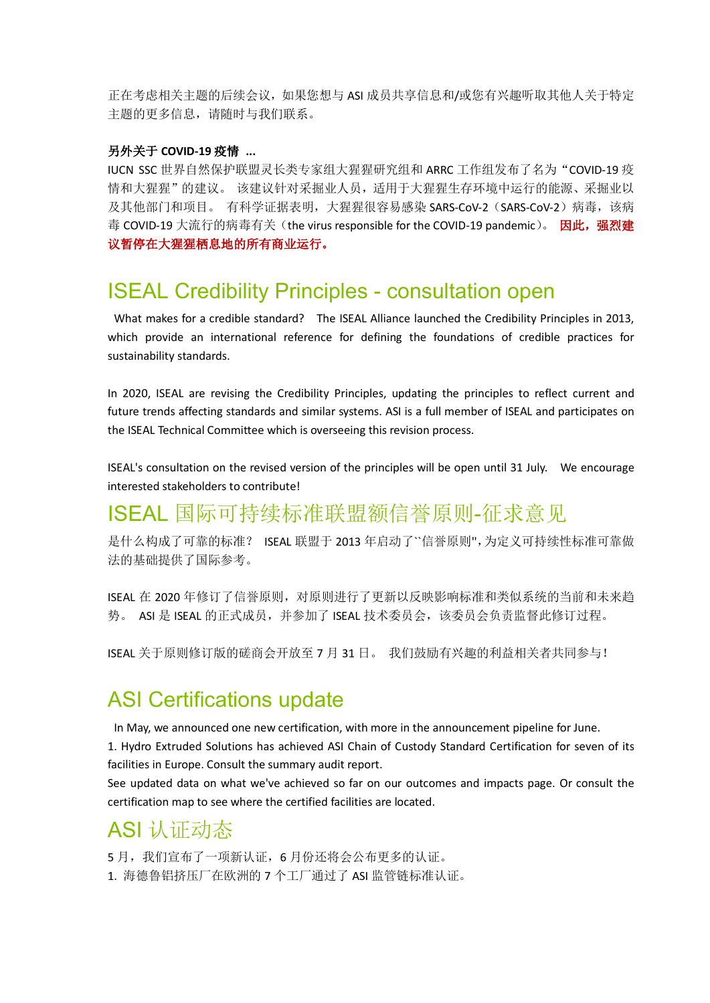正在考虑相关主题的后续会议,如果您想与 ASI 成员共享信息和/或您有兴趣听取其他人关于特定 主题的更多信息,请随时与我们联系。

#### 另外关于 **COVID-19** 疫情 **...**

IUCN SSC 世界自然保护联盟灵长类专家组大猩猩研究组和 ARRC 工作组发布了名为"COVID-19 疫 情和大猩猩"的建议。 该建议针对采掘业人员,适用于大猩猩生存环境中运行的能源、采掘业以 及其他部门和项目。 有科学证据表明,大猩猩很容易感染 SARS-CoV-2 (SARS-CoV-2) 病毒,该病 毒 COVID-19 大流行的病毒有关(the virus responsible for the COVID-19 pandemic)。 因此, 强烈建 议暂停在大猩猩栖息地的所有商业运行。

#### ISEAL Credibility Principles - consultation open

What makes for a credible standard? The ISEAL Alliance launched the Credibility Principles in 2013, which provide an international reference for defining the foundations of credible practices for sustainability standards.

In 2020, ISEAL are revising the Credibility Principles, updating the principles to reflect current and future trends affecting standards and similar systems. ASI is a full member of ISEAL and participates on the ISEAL Technical Committee which is overseeing this revision process.

ISEAL's consultation on the revised version of the principles will be open until 31 July. We encourage interested stakeholders to contribute!

### ISEAL 国际可持续标准联盟额信誉原则-征求意见

是什么构成了可靠的标准? ISEAL 联盟于 2013 年启动了"信誉原则",为定义可持续性标准可靠做 法的基础提供了国际参考。

ISEAL 在 2020 年修订了信誉原则,对原则进行了更新以反映影响标准和类似系统的当前和未来趋 势。 ASI 是 ISEAL 的正式成员,并参加了 ISEAL 技术委员会,该委员会负责监督此修订过程。

ISEAL 关于原则修订版的磋商会开放至 7 月 31 日。 我们鼓励有兴趣的利益相关者共同参与!

#### ASI Certifications update

In May, we announced one new certification, with more in the announcement pipeline for June.

1. Hydro Extruded Solutions has achieved ASI Chain of Custody Standard Certification for seven of its facilities in Europe. Consult the summary audit report.

See updated data on what we've achieved so far on our outcomes and impacts page. Or consult the certification map to see where the certified facilities are located.

#### ASI 认证动态

5月,我们宣布了一项新认证,6月份还将会公布更多的认证。

1. 海德鲁铝挤压厂在欧洲的 7 个工厂通过了 ASI 监管链标准认证。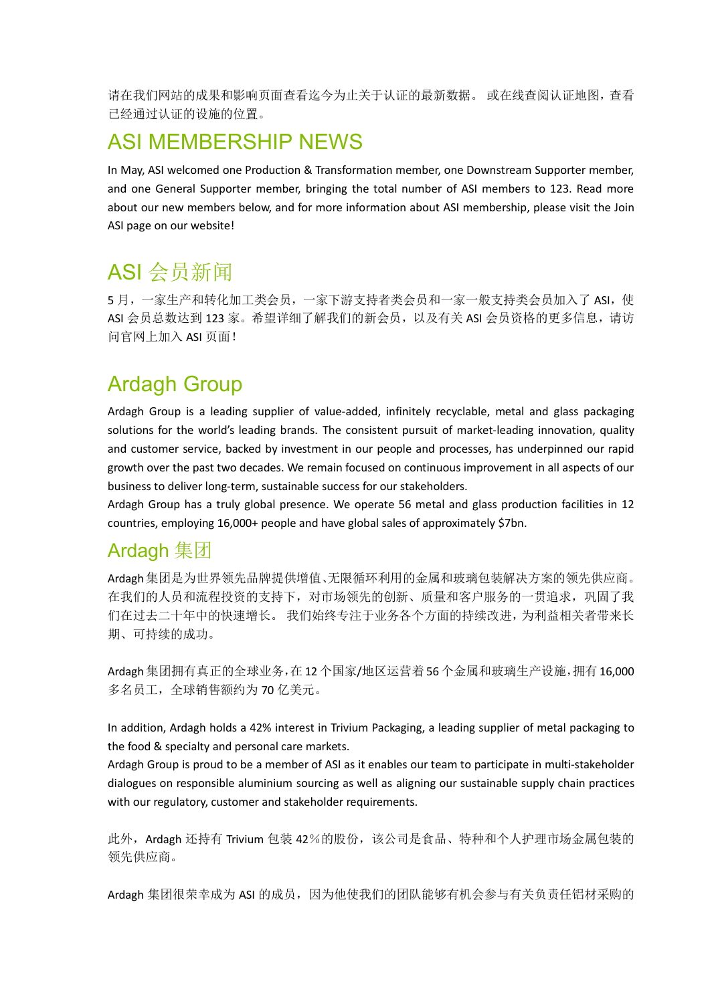请在我们网站的成果和影响页面查看迄今为止关于认证的最新数据。 或在线查阅认证地图,查看 已经通过认证的设施的位置。

### ASI MEMBERSHIP NEWS

In May, ASI welcomed one Production & Transformation member, one Downstream Supporter member, and one General Supporter member, bringing the total number of ASI members to 123. Read more about our new members below, and for more information about ASI membership, please visit the Join ASI page on our website!

## ASI 会员新闻

5月,一家生产和转化加工类会员,一家下游支持者类会员和一家一般支持类会员加入了 ASI, 使 ASI 会员总数达到 123 家。希望详细了解我们的新会员, 以及有关 ASI 会员资格的更多信息, 请访 问官网上加入 ASI 页面!

## Ardagh Group

Ardagh Group is a leading supplier of value-added, infinitely recyclable, metal and glass packaging solutions for the world's leading brands. The consistent pursuit of market-leading innovation, quality and customer service, backed by investment in our people and processes, has underpinned our rapid growth over the past two decades. We remain focused on continuous improvement in all aspects of our business to deliver long-term, sustainable success for our stakeholders.

Ardagh Group has a truly global presence. We operate 56 metal and glass production facilities in 12 countries, employing 16,000+ people and have global sales of approximately \$7bn.

#### Ardagh 集团

Ardagh集团是为世界领先品牌提供增值、无限循环利用的金属和玻璃包装解决方案的领先供应商。 在我们的人员和流程投资的支持下,对市场领先的创新、质量和客户服务的一贯追求,巩固了我 们在过去二十年中的快速增长。 我们始终专注于业务各个方面的持续改进,为利益相关者带来长 期、可持续的成功。

Ardagh集团拥有真正的全球业务,在12个国家/地区运营着56个金属和玻璃生产设施,拥有16,000 多名员工,全球销售额约为70亿美元。

In addition, Ardagh holds a 42% interest in Trivium Packaging, a leading supplier of metal packaging to the food & specialty and personal care markets.

Ardagh Group is proud to be a member of ASI as it enables our team to participate in multi-stakeholder dialogues on responsible aluminium sourcing as well as aligning our sustainable supply chain practices with our regulatory, customer and stakeholder requirements.

此外, Ardagh 还持有 Trivium 包装 42%的股份,该公司是食品、特种和个人护理市场金属包装的 领先供应商。

Ardagh 集团很荣幸成为 ASI 的成员,因为他使我们的团队能够有机会参与有关负责任铝材采购的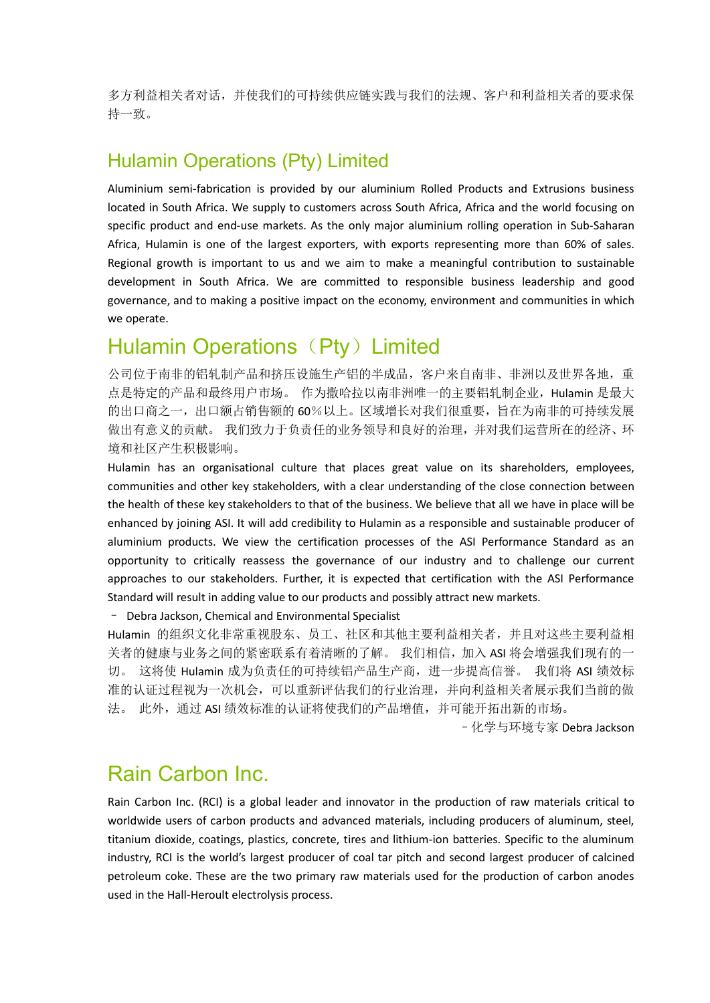多方利益相关者对话,并使我们的可持续供应链实践与我们的法规、客户和利益相关者的要求保 持一致。

#### Hulamin Operations (Pty) Limited

Aluminium semi-fabrication is provided by our aluminium Rolled Products and Extrusions business located in South Africa. We supply to customers across South Africa, Africa and the world focusing on specific product and end-use markets. As the only major aluminium rolling operation in Sub-Saharan Africa, Hulamin is one of the largest exporters, with exports representing more than 60% of sales. Regional growth is important to us and we aim to make a meaningful contribution to sustainable development in South Africa. We are committed to responsible business leadership and good governance, and to making a positive impact on the economy, environment and communities in which we operate.

### Hulamin Operations (Pty) Limited

公司位于南非的铝轧制产品和挤压设施生产铝的半成品,客户来自南非、非洲以及世界各地,重 点是特定的产品和最终用户市场。 作为撒哈拉以南非洲唯一的主要铝轧制企业,Hulamin 是最大 的出口商之一,出口额占销售额的 60%以上。区域增长对我们很重要,旨在为南非的可持续发展 做出有意义的贡献。 我们致力于负责任的业务领导和良好的治理,并对我们运营所在的经济、环 境和社区产生积极影响。

Hulamin has an organisational culture that places great value on its shareholders, employees, communities and other key stakeholders, with a clear understanding of the close connection between the health of these key stakeholders to that of the business. We believe that all we have in place will be enhanced by joining ASI. It will add credibility to Hulamin as a responsible and sustainable producer of aluminium products. We view the certification processes of the ASI Performance Standard as an opportunity to critically reassess the governance of our industry and to challenge our current approaches to our stakeholders. Further, it is expected that certification with the ASI Performance Standard will result in adding value to our products and possibly attract new markets.

– Debra Jackson, Chemical and Environmental Specialist

Hulamin 的组织文化非常重视股东、员工、社区和其他主要利益相关者,并且对这些主要利益相 关者的健康与业务之间的紧密联系有着清晰的了解。我们相信,加入 ASI 将会增强我们现有的一 切。 这将使 Hulamin 成为负责任的可持续铝产品生产商,进一步提高信誉。 我们将 ASI 绩效标 准的认证过程视为一次机会,可以重新评估我们的行业治理,并向利益相关者展示我们当前的做 法。 此外,通过 ASI 绩效标准的认证将使我们的产品增值,并可能开拓出新的市场。

–化学与环境专家 Debra Jackson

### Rain Carbon Inc.

Rain Carbon Inc. (RCI) is a global leader and innovator in the production of raw materials critical to worldwide users of carbon products and advanced materials, including producers of aluminum, steel, titanium dioxide, coatings, plastics, concrete, tires and lithium-ion batteries. Specific to the aluminum industry, RCI is the world's largest producer of coal tar pitch and second largest producer of calcined petroleum coke. These are the two primary raw materials used for the production of carbon anodes used in the Hall-Heroult electrolysis process.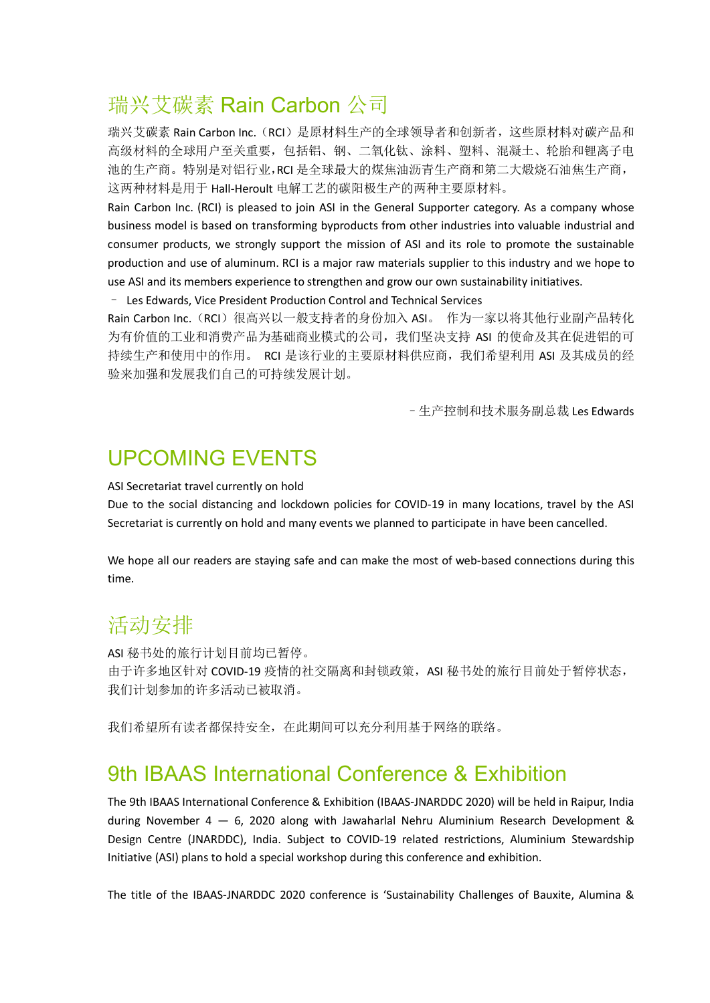## 瑞兴艾碳素 Rain Carbon 公司

瑞兴艾碳素 Rain Carbon Inc.(RCI)是原材料生产的全球领导者和创新者,这些原材料对碳产品和 高级材料的全球用户至关重要,包括铝、钢、二氧化钛、涂料、塑料、混凝土、轮胎和锂离子电 池的生产商。特别是对铝行业,RCI 是全球最大的煤焦油沥青生产商和第二大煅烧石油焦生产商, 这两种材料是用于 Hall-Heroult 电解工艺的碳阳极生产的两种主要原材料。

Rain Carbon Inc. (RCI) is pleased to join ASI in the General Supporter category. As a company whose business model is based on transforming byproducts from other industries into valuable industrial and consumer products, we strongly support the mission of ASI and its role to promote the sustainable production and use of aluminum. RCI is a major raw materials supplier to this industry and we hope to use ASI and its members experience to strengthen and grow our own sustainability initiatives.

– Les Edwards, Vice President Production Control and Technical Services

Rain Carbon Inc. (RCI) 很高兴以一般支持者的身份加入 ASI。 作为一家以将其他行业副产品转化 为有价值的工业和消费产品为基础商业模式的公司,我们坚决支持 ASI 的使命及其在促进铝的可 持续生产和使用中的作用。 RCI 是该行业的主要原材料供应商,我们希望利用 ASI 及其成员的经 验来加强和发展我们自己的可持续发展计划。

–生产控制和技术服务副总裁 Les Edwards

### UPCOMING EVENTS

ASI Secretariat travel currently on hold

Due to the social distancing and lockdown policies for COVID-19 in many locations, travel by the ASI Secretariat is currently on hold and many events we planned to participate in have been cancelled.

We hope all our readers are staying safe and can make the most of web-based connections during this time.

### 活动安排

ASI 秘书处的旅行计划目前均已暂停。 由于许多地区针对 COVID-19 疫情的社交隔离和封锁政策, ASI 秘书处的旅行目前处于暂停状态, 我们计划参加的许多活动已被取消。

我们希望所有读者都保持安全,在此期间可以充分利用基于网络的联络。

#### 9th IBAAS International Conference & Exhibition

The 9th IBAAS International Conference & Exhibition (IBAAS-JNARDDC 2020) will be held in Raipur, India during November  $4 - 6$ , 2020 along with Jawaharlal Nehru Aluminium Research Development & Design Centre (JNARDDC), India. Subject to COVID-19 related restrictions, Aluminium Stewardship Initiative (ASI) plans to hold a special workshop during this conference and exhibition.

The title of the IBAAS-JNARDDC 2020 conference is 'Sustainability Challenges of Bauxite, Alumina &